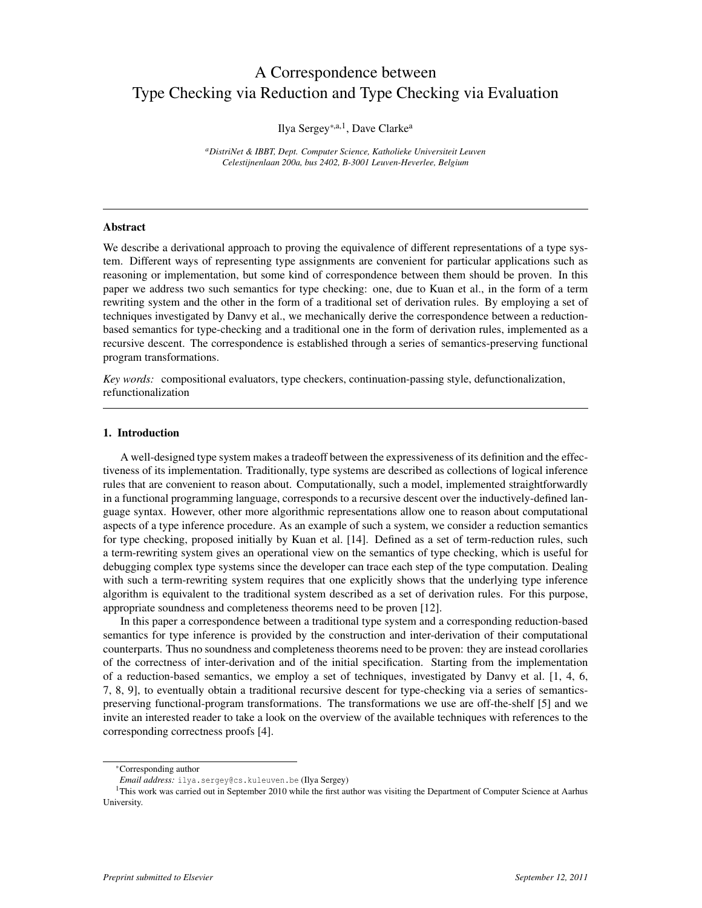# A Correspondence between Type Checking via Reduction and Type Checking via Evaluation

# Ilya Sergey∗,a,1, Dave Clarke<sup>a</sup>

*<sup>a</sup>DistriNet & IBBT, Dept. Computer Science, Katholieke Universiteit Leuven Celestijnenlaan 200a, bus 2402, B-3001 Leuven-Heverlee, Belgium*

# Abstract

We describe a derivational approach to proving the equivalence of different representations of a type system. Different ways of representing type assignments are convenient for particular applications such as reasoning or implementation, but some kind of correspondence between them should be proven. In this paper we address two such semantics for type checking: one, due to Kuan et al., in the form of a term rewriting system and the other in the form of a traditional set of derivation rules. By employing a set of techniques investigated by Danvy et al., we mechanically derive the correspondence between a reductionbased semantics for type-checking and a traditional one in the form of derivation rules, implemented as a recursive descent. The correspondence is established through a series of semantics-preserving functional program transformations.

*Key words:* compositional evaluators, type checkers, continuation-passing style, defunctionalization, refunctionalization

# 1. Introduction

A well-designed type system makes a tradeoff between the expressiveness of its definition and the effectiveness of its implementation. Traditionally, type systems are described as collections of logical inference rules that are convenient to reason about. Computationally, such a model, implemented straightforwardly in a functional programming language, corresponds to a recursive descent over the inductively-defined language syntax. However, other more algorithmic representations allow one to reason about computational aspects of a type inference procedure. As an example of such a system, we consider a reduction semantics for type checking, proposed initially by Kuan et al. [14]. Defined as a set of term-reduction rules, such a term-rewriting system gives an operational view on the semantics of type checking, which is useful for debugging complex type systems since the developer can trace each step of the type computation. Dealing with such a term-rewriting system requires that one explicitly shows that the underlying type inference algorithm is equivalent to the traditional system described as a set of derivation rules. For this purpose, appropriate soundness and completeness theorems need to be proven [12].

In this paper a correspondence between a traditional type system and a corresponding reduction-based semantics for type inference is provided by the construction and inter-derivation of their computational counterparts. Thus no soundness and completeness theorems need to be proven: they are instead corollaries of the correctness of inter-derivation and of the initial specification. Starting from the implementation of a reduction-based semantics, we employ a set of techniques, investigated by Danvy et al. [1, 4, 6, 7, 8, 9], to eventually obtain a traditional recursive descent for type-checking via a series of semanticspreserving functional-program transformations. The transformations we use are off-the-shelf [5] and we invite an interested reader to take a look on the overview of the available techniques with references to the corresponding correctness proofs [4].

<sup>∗</sup>Corresponding author

*Email address:* ilya.sergey@cs.kuleuven.be (Ilya Sergey)

<sup>&</sup>lt;sup>1</sup>This work was carried out in September 2010 while the first author was visiting the Department of Computer Science at Aarhus University.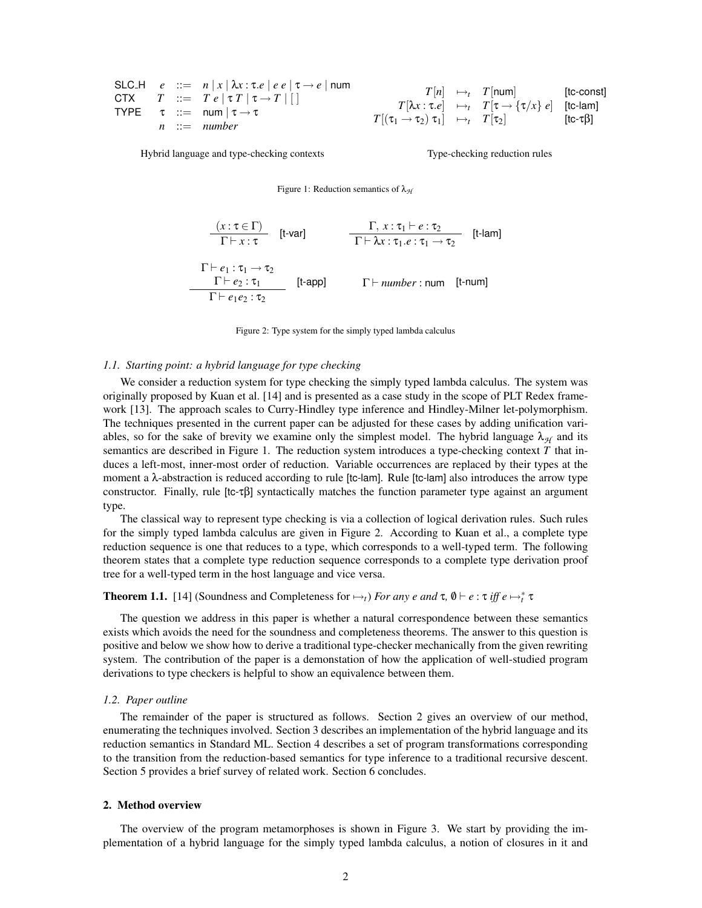\n
$$
\text{SLC.H} \quad e := n |x| \lambda x : \tau \cdot e \mid e \mid \tau \to e \mid \text{num}
$$
\n

\n\n $T := T e | \tau T | \tau \to T |[$ \n

\n\n $T := \text{num} | \tau \to \tau$ \n

\n\n $T = \text{num} | \tau \to \tau$ \n

\n\n $T = \text{num} | \tau \to \tau$ \n

\n\n $T = \text{num} | \tau \to \tau$ \n

\n\n $T = \text{num} | \tau \to \tau$ \n

\n\n $T = \text{num} | \tau \to \tau$ \n

\n\n $T = \text{num} | \tau \to \tau$ \n

\n\n $T = \text{num} | \tau \to \tau$ \n

\n\n $T = \text{num} | \tau \to \tau$ \n

\n\n $T = \text{num} | \tau \to \tau$ \n

\n\n $T = \text{num} | \tau \to \tau$ \n

\n\n $T = \text{num} | \tau \to \tau$ \n

\n\n $T = \text{num} | \tau \to \tau$ \n

\n\n $T = \text{num} | \tau \to \tau$ \n

\n\n $T = \text{num} | \tau \to \tau$ \n

\n\n $T = \text{num} | \tau \to \tau$ \n

Hybrid language and type-checking contexts Type-checking reduction rules

Figure 1: Reduction semantics of λ<sub>H</sub>

 $(x : \tau \in \Gamma)$  $\Gamma \vdash x : \tau$ [t-var]  $\frac{\Gamma, x : \tau_1 \vdash e : \tau_2}{\Gamma \vdash \lambda}$  $\frac{1}{\Gamma \vdash \lambda x : \tau_1.e : \tau_1 \rightarrow \tau_2}$  [t-lam]  $\Gamma \vdash e_1 : \tau_1 \rightarrow \tau_2$  $Γ ⊢ e_2 : τ_1$  $\Gamma \vdash e_1e_2 :$  τ<sub>2</sub>  $Γ ⊢ *number* : num$  [t-num]

Figure 2: Type system for the simply typed lambda calculus

#### *1.1. Starting point: a hybrid language for type checking*

We consider a reduction system for type checking the simply typed lambda calculus. The system was originally proposed by Kuan et al. [14] and is presented as a case study in the scope of PLT Redex framework [13]. The approach scales to Curry-Hindley type inference and Hindley-Milner let-polymorphism. The techniques presented in the current paper can be adjusted for these cases by adding unification variables, so for the sake of brevity we examine only the simplest model. The hybrid language  $\lambda_{H}$  and its semantics are described in Figure 1. The reduction system introduces a type-checking context *T* that induces a left-most, inner-most order of reduction. Variable occurrences are replaced by their types at the moment a λ-abstraction is reduced according to rule [tc-lam]. Rule [tc-lam] also introduces the arrow type constructor. Finally, rule [tc-τβ] syntactically matches the function parameter type against an argument type.

The classical way to represent type checking is via a collection of logical derivation rules. Such rules for the simply typed lambda calculus are given in Figure 2. According to Kuan et al., a complete type reduction sequence is one that reduces to a type, which corresponds to a well-typed term. The following theorem states that a complete type reduction sequence corresponds to a complete type derivation proof tree for a well-typed term in the host language and vice versa.

# **Theorem 1.1.** [14] (Soundness and Completeness for  $\mapsto$ *t*) *For any e and*  $\tau$ ,  $\emptyset \vdash e : \tau$  *iff e*  $\mapsto^*_{t} \tau$

The question we address in this paper is whether a natural correspondence between these semantics exists which avoids the need for the soundness and completeness theorems. The answer to this question is positive and below we show how to derive a traditional type-checker mechanically from the given rewriting system. The contribution of the paper is a demonstation of how the application of well-studied program derivations to type checkers is helpful to show an equivalence between them.

#### *1.2. Paper outline*

The remainder of the paper is structured as follows. Section 2 gives an overview of our method, enumerating the techniques involved. Section 3 describes an implementation of the hybrid language and its reduction semantics in Standard ML. Section 4 describes a set of program transformations corresponding to the transition from the reduction-based semantics for type inference to a traditional recursive descent. Section 5 provides a brief survey of related work. Section 6 concludes.

#### 2. Method overview

The overview of the program metamorphoses is shown in Figure 3. We start by providing the implementation of a hybrid language for the simply typed lambda calculus, a notion of closures in it and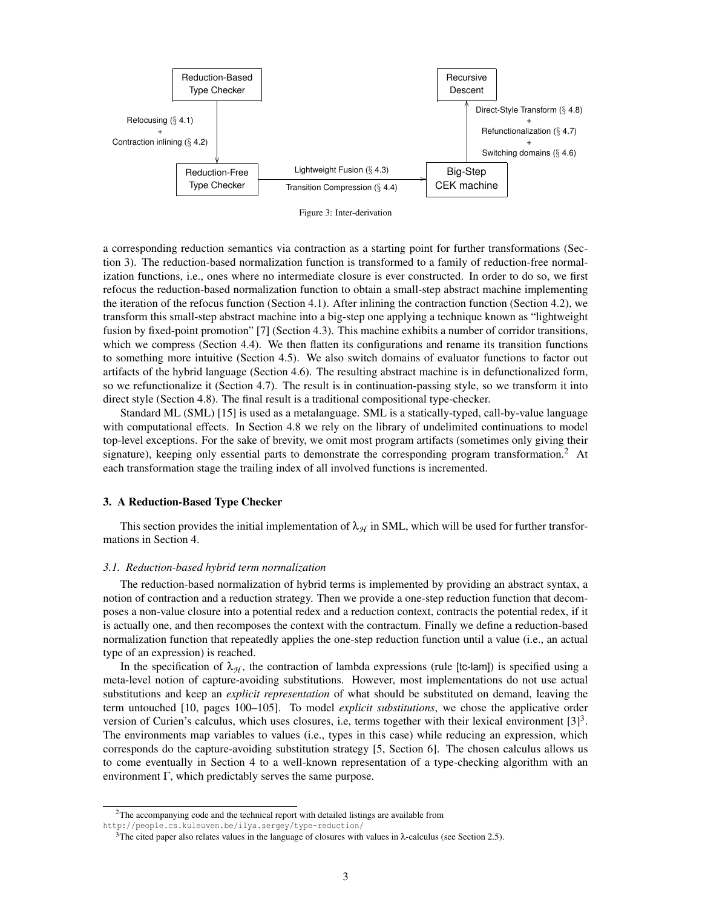

Figure 3: Inter-derivation

a corresponding reduction semantics via contraction as a starting point for further transformations (Section 3). The reduction-based normalization function is transformed to a family of reduction-free normalization functions, i.e., ones where no intermediate closure is ever constructed. In order to do so, we first refocus the reduction-based normalization function to obtain a small-step abstract machine implementing the iteration of the refocus function (Section 4.1). After inlining the contraction function (Section 4.2), we transform this small-step abstract machine into a big-step one applying a technique known as "lightweight fusion by fixed-point promotion" [7] (Section 4.3). This machine exhibits a number of corridor transitions, which we compress (Section 4.4). We then flatten its configurations and rename its transition functions to something more intuitive (Section 4.5). We also switch domains of evaluator functions to factor out artifacts of the hybrid language (Section 4.6). The resulting abstract machine is in defunctionalized form, so we refunctionalize it (Section 4.7). The result is in continuation-passing style, so we transform it into direct style (Section 4.8). The final result is a traditional compositional type-checker.

Standard ML (SML) [15] is used as a metalanguage. SML is a statically-typed, call-by-value language with computational effects. In Section 4.8 we rely on the library of undelimited continuations to model top-level exceptions. For the sake of brevity, we omit most program artifacts (sometimes only giving their signature), keeping only essential parts to demonstrate the corresponding program transformation.<sup>2</sup> At each transformation stage the trailing index of all involved functions is incremented.

### 3. A Reduction-Based Type Checker

This section provides the initial implementation of  $\lambda_{H}$  in SML, which will be used for further transformations in Section 4.

# *3.1. Reduction-based hybrid term normalization*

The reduction-based normalization of hybrid terms is implemented by providing an abstract syntax, a notion of contraction and a reduction strategy. Then we provide a one-step reduction function that decomposes a non-value closure into a potential redex and a reduction context, contracts the potential redex, if it is actually one, and then recomposes the context with the contractum. Finally we define a reduction-based normalization function that repeatedly applies the one-step reduction function until a value (i.e., an actual type of an expression) is reached.

In the specification of  $\lambda_{H}$ , the contraction of lambda expressions (rule [tc-lam]) is specified using a meta-level notion of capture-avoiding substitutions. However, most implementations do not use actual substitutions and keep an *explicit representation* of what should be substituted on demand, leaving the term untouched [10, pages 100–105]. To model *explicit substitutions*, we chose the applicative order version of Curien's calculus, which uses closures, i.e, terms together with their lexical environment  $[3]^3$ . The environments map variables to values (i.e., types in this case) while reducing an expression, which corresponds do the capture-avoiding substitution strategy [5, Section 6]. The chosen calculus allows us to come eventually in Section 4 to a well-known representation of a type-checking algorithm with an environment Γ, which predictably serves the same purpose.

<sup>&</sup>lt;sup>2</sup>The accompanying code and the technical report with detailed listings are available from

http://people.cs.kuleuven.be/ilya.sergey/type-reduction/

<sup>&</sup>lt;sup>3</sup>The cited paper also relates values in the language of closures with values in  $\lambda$ -calculus (see Section 2.5).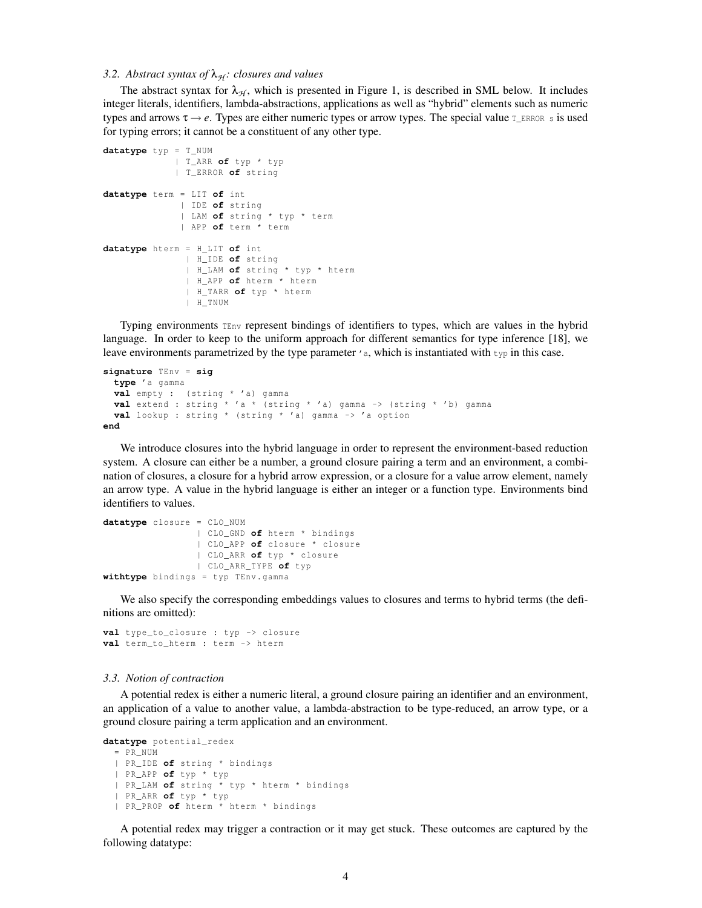# *3.2. Abstract syntax of*  $λ$ <sub>*H</sub>: closures and values*</sub>

The abstract syntax for  $\lambda_{H}$ , which is presented in Figure 1, is described in SML below. It includes integer literals, identifiers, lambda-abstractions, applications as well as "hybrid" elements such as numeric types and arrows  $\tau \rightarrow e$ . Types are either numeric types or arrow types. The special value  $T_{ERROR}$  s is used for typing errors; it cannot be a constituent of any other type.

```
datatype typ = T_NUM
             | T_ARR of typ * typ
             | T_ERROR of string
datatype term = LIT of int
             | IDE of string
              | LAM of string * typ * term
              | APP of term * term
datatype hterm = H_LIT of int
               | H_IDE of string
               | H_LAM of string * typ * hterm
              | H_APP of hterm * hterm
              | H_TARR of typ * hterm
               | H_TNUM
```
Typing environments TEnv represent bindings of identifiers to types, which are values in the hybrid language. In order to keep to the uniform approach for different semantics for type inference [18], we leave environments parametrized by the type parameter  $\prime$  a, which is instantiated with  $\tau_{\rm FP}$  in this case.

```
signature TEnv = sig
 type 'a gamma
 val empty : ( string * 'a) gamma
 val extend : string * 'a * ( string * 'a) gamma -> ( string * 'b) gamma
 val lookup : string * ( string * 'a) gamma -> 'a option
end
```
We introduce closures into the hybrid language in order to represent the environment-based reduction system. A closure can either be a number, a ground closure pairing a term and an environment, a combination of closures, a closure for a hybrid arrow expression, or a closure for a value arrow element, namely an arrow type. A value in the hybrid language is either an integer or a function type. Environments bind identifiers to values.

```
datatype closure = CLO_NUM
                 | CLO_GND of hterm * bindings
                 | CLO_APP of closure * closure
                 | CLO_ARR of typ * closure
                 | CLO_ARR_TYPE of typ
withtype bindings = typ TEnv . gamma
```
We also specify the corresponding embeddings values to closures and terms to hybrid terms (the definitions are omitted):

```
val type_to_closure : typ -> closure
val term_to_hterm : term -> hterm
```
#### *3.3. Notion of contraction*

A potential redex is either a numeric literal, a ground closure pairing an identifier and an environment, an application of a value to another value, a lambda-abstraction to be type-reduced, an arrow type, or a ground closure pairing a term application and an environment.

```
datatype potential_redex
 = PR_NUM
  | PR_IDE of string * bindings
  | PR_APP of typ * typ
  | PR_LAM of string * typ * hterm * bindings
  | PR_ARR of typ * typ
  | PR_PROP of hterm * hterm * bindings
```
A potential redex may trigger a contraction or it may get stuck. These outcomes are captured by the following datatype: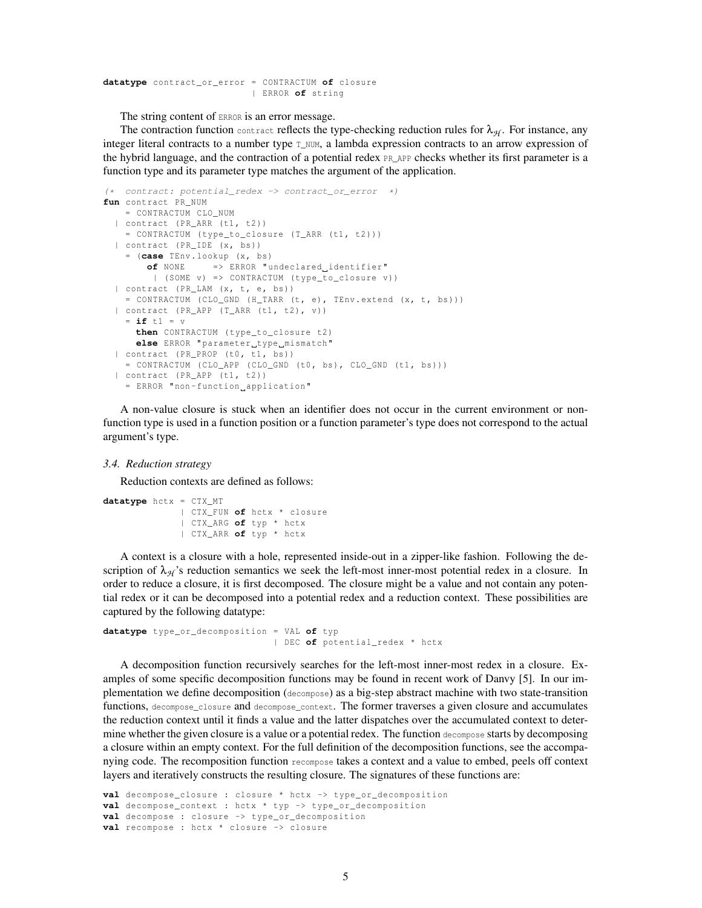**datatype** contract\_or\_error = CONTRACTUM **of** closure | ERROR **of** string

The string content of ERROR is an error message.

The contraction function contract reflects the type-checking reduction rules for  $\lambda_{H}$ . For instance, any integer literal contracts to a number type  $T_N$ NUM, a lambda expression contracts to an arrow expression of the hybrid language, and the contraction of a potential redex PR\_APP checks whether its first parameter is a function type and its parameter type matches the argument of the application.

```
(* contract: potential_redex -> contract_or_error *)
fun contract PR_NUM
   = CONTRACTUM CLO_NUM
  | contract (PR_ARR (t1, t2))
   = CONTRACTUM (type_to_closure (T_ARR (t1, t2)))
  | contract (PR_IDE (x, bs))
    = (case TEnv . lookup (x , bs )
       of NONE => ERROR " undeclared identifier "
         | ( SOME v) => CONTRACTUM ( type_to_closure v ))
  | contract (PR_LAM (x, t, e, bs))
    = CONTRACTUM (CLO_GND (H_TARR (t, e), TEnv.extend (x, t, bs)))
  | contract ( PR_APP ( T_ARR (t1 , t2 ), v ))
    = if t1 = v
     then CONTRACTUM (type_to_closure t2)
     else ERROR "parameter_type_mismatch"
  | contract (PR_PROP (t0, t1, bs))
    = CONTRACTUM ( CLO_APP ( CLO_GND (t0, bs), CLO_GND (t1, bs)))
  | contract ( PR_APP (t1 , t2 ))
    = ERROR "non - function application "
```
A non-value closure is stuck when an identifier does not occur in the current environment or nonfunction type is used in a function position or a function parameter's type does not correspond to the actual argument's type.

#### *3.4. Reduction strategy*

Reduction contexts are defined as follows:

```
datatype hctx = CTX_MT
              | CTX_FUN of hctx * closure
              | CTX_ARG of typ * hctx
              | CTX_ARR of typ * hctx
```
A context is a closure with a hole, represented inside-out in a zipper-like fashion. Following the description of  $\lambda_{H}$ 's reduction semantics we seek the left-most inner-most potential redex in a closure. In order to reduce a closure, it is first decomposed. The closure might be a value and not contain any potential redex or it can be decomposed into a potential redex and a reduction context. These possibilities are captured by the following datatype:

```
datatype type_or_decomposition = VAL of typ
                               | DEC of potential_redex * hctx
```
A decomposition function recursively searches for the left-most inner-most redex in a closure. Examples of some specific decomposition functions may be found in recent work of Danvy [5]. In our implementation we define decomposition (decompose) as a big-step abstract machine with two state-transition functions, decompose\_closure and decompose\_context. The former traverses a given closure and accumulates the reduction context until it finds a value and the latter dispatches over the accumulated context to determine whether the given closure is a value or a potential redex. The function decompose starts by decomposing a closure within an empty context. For the full definition of the decomposition functions, see the accompanying code. The recomposition function recompose takes a context and a value to embed, peels off context layers and iteratively constructs the resulting closure. The signatures of these functions are:

```
val decompose_closure : closure * hctx -> type_or_decomposition
val decompose_context : hctx * typ -> type_or_decomposition
val decompose : closure -> type_or_decomposition
val recompose : hctx * closure -> closure
```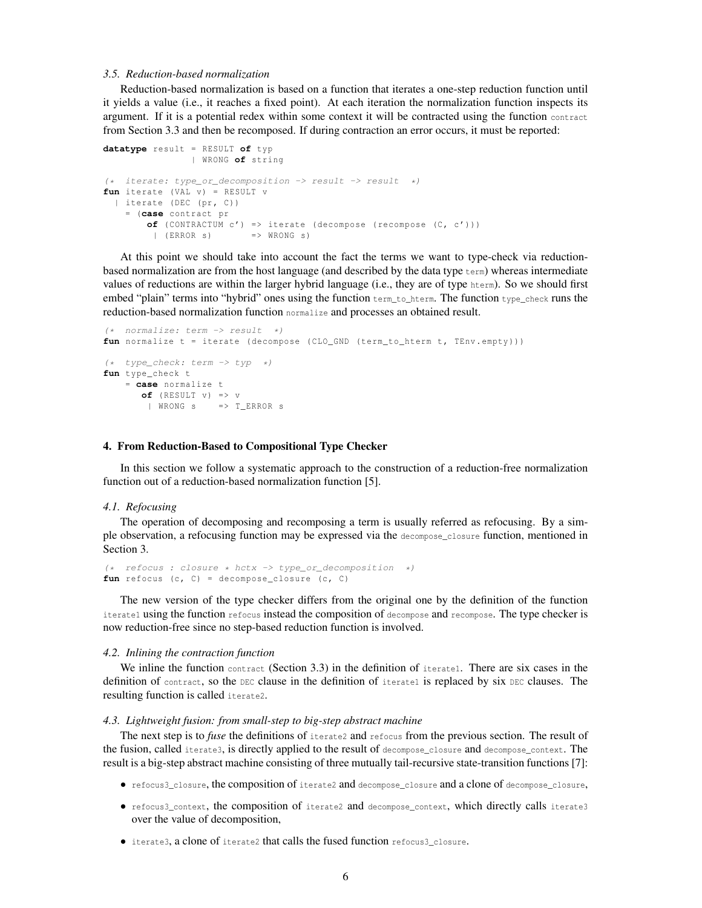# *3.5. Reduction-based normalization*

Reduction-based normalization is based on a function that iterates a one-step reduction function until it yields a value (i.e., it reaches a fixed point). At each iteration the normalization function inspects its argument. If it is a potential redex within some context it will be contracted using the function contract from Section 3.3 and then be recomposed. If during contraction an error occurs, it must be reported:

```
datatype result = RESULT of typ
               | WRONG of string
(* iterate: type_or_decomposition -> result -> result *)
fun iterate (VAL v) = RESULT v
 | iterate (DEC (pr, C))
   = (case contract pr
       of (CONTRACTUM c') => iterate (decompose (recompose (C, c')))
        | (ERROR s) => WRONG s)
```
At this point we should take into account the fact the terms we want to type-check via reductionbased normalization are from the host language (and described by the data type term) whereas intermediate values of reductions are within the larger hybrid language (i.e., they are of type hterm). So we should first embed "plain" terms into "hybrid" ones using the function  $t_{\text{term}}$  to hterm. The function type\_check runs the reduction-based normalization function normalize and processes an obtained result.

```
(* normalize: term \rightarrow result *)fun normalize t = iterate ( decompose ( CLO_GND ( term_to_hterm t, TEnv. empty ) ))
(* type_check: term -> typ *)
fun type_check t
    = case normalize t
      of (RESULT V) \Rightarrow V| WRONG s => T_ERROR s
```
#### 4. From Reduction-Based to Compositional Type Checker

In this section we follow a systematic approach to the construction of a reduction-free normalization function out of a reduction-based normalization function [5].

#### *4.1. Refocusing*

The operation of decomposing and recomposing a term is usually referred as refocusing. By a simple observation, a refocusing function may be expressed via the decompose\_closure function, mentioned in Section 3.

(\* refocus : closure \* hctx -> type\_or\_decomposition \*)  $fun$  refocus  $(c, c)$  = decompose\_closure  $(c, c)$ 

The new version of the type checker differs from the original one by the definition of the function iterate1 using the function refocus instead the composition of decompose and recompose. The type checker is now reduction-free since no step-based reduction function is involved.

#### *4.2. Inlining the contraction function*

We inline the function contract (Section 3.3) in the definition of iterate1. There are six cases in the definition of contract, so the DEC clause in the definition of iterate1 is replaced by six DEC clauses. The resulting function is called iterate2.

#### *4.3. Lightweight fusion: from small-step to big-step abstract machine*

The next step is to *fuse* the definitions of iterate2 and refocus from the previous section. The result of the fusion, called iterate3, is directly applied to the result of decompose\_closure and decompose\_context. The result is a big-step abstract machine consisting of three mutually tail-recursive state-transition functions [7]:

- refocus3\_closure, the composition of iterate2 and decompose\_closure and a clone of decompose\_closure,
- refocus3\_context, the composition of iterate2 and decompose\_context, which directly calls iterate3 over the value of decomposition,
- iterate3, a clone of iterate2 that calls the fused function refocus3\_closure.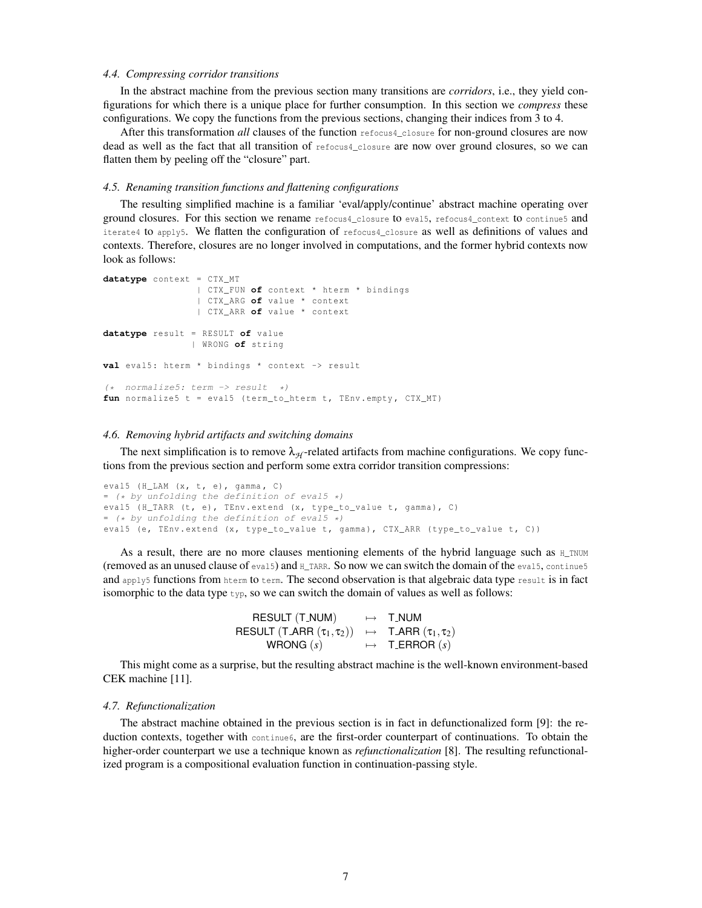#### *4.4. Compressing corridor transitions*

In the abstract machine from the previous section many transitions are *corridors*, i.e., they yield configurations for which there is a unique place for further consumption. In this section we *compress* these configurations. We copy the functions from the previous sections, changing their indices from 3 to 4.

After this transformation *all* clauses of the function refocus4\_closure for non-ground closures are now dead as well as the fact that all transition of refocus4\_closure are now over ground closures, so we can flatten them by peeling off the "closure" part.

### *4.5. Renaming transition functions and flattening configurations*

The resulting simplified machine is a familiar 'eval/apply/continue' abstract machine operating over ground closures. For this section we rename refocus4\_closure to eval5, refocus4\_context to continue5 and iterate4 to apply5. We flatten the configuration of refocus4\_closure as well as definitions of values and contexts. Therefore, closures are no longer involved in computations, and the former hybrid contexts now look as follows:

```
datatype context = CTX_MT
                 | CTX_FUN of context * hterm * bindings
                 | CTX_ARG of value * context
                 | CTX_ARR of value * context
datatype result = RESULT of value
                | WRONG of string
val eval5: hterm * bindings * context -> result
(* normalize5: term \rightarrow result *)fun normalize5 t = eval5 (term_to_hterm t, TEnv.empty, CTX_MT)
```
#### *4.6. Removing hybrid artifacts and switching domains*

The next simplification is to remove  $\lambda_{H}$ -related artifacts from machine configurations. We copy functions from the previous section and perform some extra corridor transition compressions:

```
eval5 (H_LAM (x, t, e), gamma, C)
= (* by unfolding the definition of eval5 *)
eval5 (H_TARR (t, e), TEnv.extend (x, type_to_value t, gamma), C)
= (* by unfolding the definition of eval5 *)
eval5 (e, TEnv.extend (x, type_to_value t, gamma), CTX_ARR (type_to_value t, C))
```
As a result, there are no more clauses mentioning elements of the hybrid language such as  $H_{\text{L}T}$ NUM (removed as an unused clause of eval5) and  $H$  TARR. So now we can switch the domain of the eval5, continue5 and apply5 functions from hterm to term. The second observation is that algebraic data type result is in fact isomorphic to the data type  $\text{type}$ , so we can switch the domain of values as well as follows:

| <b>RESULT (T_NUM)</b>                                                                                          | $\mapsto$ T NUM         |
|----------------------------------------------------------------------------------------------------------------|-------------------------|
| RESULT $(T \text{ } \mathsf{ARR} \, (\tau_1, \tau_2)) \rightarrow T \text{ } \mathsf{ARR} \, (\tau_1, \tau_2)$ |                         |
| WRONG $(s)$                                                                                                    | $\mapsto$ T_ERROR $(s)$ |

This might come as a surprise, but the resulting abstract machine is the well-known environment-based CEK machine [11].

# *4.7. Refunctionalization*

The abstract machine obtained in the previous section is in fact in defunctionalized form [9]: the reduction contexts, together with continue6, are the first-order counterpart of continuations. To obtain the higher-order counterpart we use a technique known as *refunctionalization* [8]. The resulting refunctionalized program is a compositional evaluation function in continuation-passing style.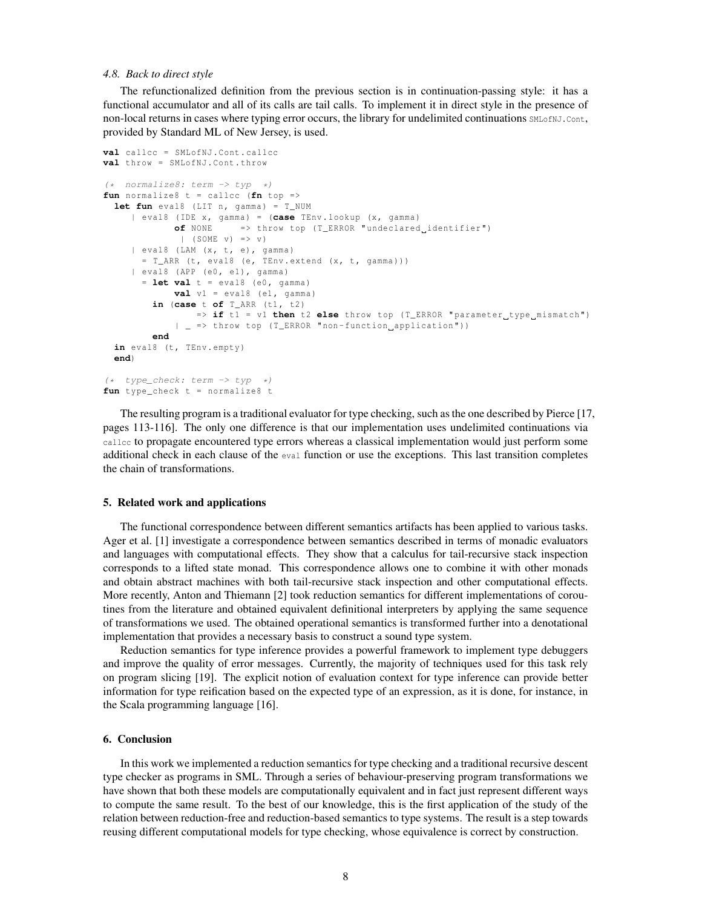# *4.8. Back to direct style*

The refunctionalized definition from the previous section is in continuation-passing style: it has a functional accumulator and all of its calls are tail calls. To implement it in direct style in the presence of non-local returns in cases where typing error occurs, the library for undelimited continuations SMLofNJ.Cont, provided by Standard ML of New Jersey, is used.

```
val callcc = SMLofNJ . Cont . callcc
val throw = SMLofNJ . Cont . throw
(* normalize8: term -> typ *)
fun normalize8 t = callcc (fn top =>
 let fun eval8 (LIT n, gamma) = T NUM
     | eval8 ( IDE x , gamma ) = (case TEnv . lookup (x , gamma )
             of NONE => throw top (T_ERROR "undeclared_identifier")
              | (SOME v) => v)
     | eval8 (LAM (x, t, e), gamma)
       = T_ARR (t, eval8 (e, TEnv. extend (x, t, qamma)))
     | eval8 (APP (e0, e1), gamma)
       = let val t = eval8 (e0 , gamma )
             val v1 = eval8 (e1, gamma)
         in (case t of T_ARR (t1 , t2 )
                 => if t1 = v1 then t2 else throw top (T_ERROR "parameter type mismatch")
             | _ => throw top (T_ERROR "non-function_application"))
         end
  in eval8 (t, TEnv. empty)
  end)
(* type_check: term \rightarrow typ *)fun type_check t = normalize8 t
```
The resulting program is a traditional evaluator for type checking, such as the one described by Pierce [17, pages 113-116]. The only one difference is that our implementation uses undelimited continuations via callcc to propagate encountered type errors whereas a classical implementation would just perform some additional check in each clause of the eval function or use the exceptions. This last transition completes the chain of transformations.

### 5. Related work and applications

The functional correspondence between different semantics artifacts has been applied to various tasks. Ager et al. [1] investigate a correspondence between semantics described in terms of monadic evaluators and languages with computational effects. They show that a calculus for tail-recursive stack inspection corresponds to a lifted state monad. This correspondence allows one to combine it with other monads and obtain abstract machines with both tail-recursive stack inspection and other computational effects. More recently, Anton and Thiemann [2] took reduction semantics for different implementations of coroutines from the literature and obtained equivalent definitional interpreters by applying the same sequence of transformations we used. The obtained operational semantics is transformed further into a denotational implementation that provides a necessary basis to construct a sound type system.

Reduction semantics for type inference provides a powerful framework to implement type debuggers and improve the quality of error messages. Currently, the majority of techniques used for this task rely on program slicing [19]. The explicit notion of evaluation context for type inference can provide better information for type reification based on the expected type of an expression, as it is done, for instance, in the Scala programming language [16].

#### 6. Conclusion

In this work we implemented a reduction semantics for type checking and a traditional recursive descent type checker as programs in SML. Through a series of behaviour-preserving program transformations we have shown that both these models are computationally equivalent and in fact just represent different ways to compute the same result. To the best of our knowledge, this is the first application of the study of the relation between reduction-free and reduction-based semantics to type systems. The result is a step towards reusing different computational models for type checking, whose equivalence is correct by construction.